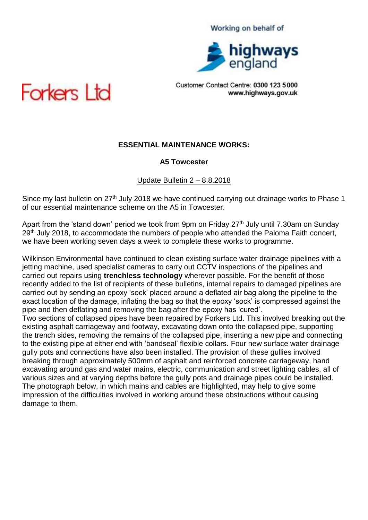

Customer Contact Centre: 0300 123 5000 www.highways.gov.uk



# **ESSENTIAL MAINTENANCE WORKS:**

### **A5 Towcester**

#### Update Bulletin 2 – 8.8.2018

Since my last bulletin on 27<sup>th</sup> July 2018 we have continued carrying out drainage works to Phase 1 of our essential maintenance scheme on the A5 in Towcester.

Apart from the 'stand down' period we took from 9pm on Friday 27<sup>th</sup> July until 7.30am on Sunday 29<sup>th</sup> July 2018, to accommodate the numbers of people who attended the Paloma Faith concert, we have been working seven days a week to complete these works to programme.

Wilkinson Environmental have continued to clean existing surface water drainage pipelines with a jetting machine, used specialist cameras to carry out CCTV inspections of the pipelines and carried out repairs using **trenchless technology** wherever possible. For the benefit of those recently added to the list of recipients of these bulletins, internal repairs to damaged pipelines are carried out by sending an epoxy 'sock' placed around a deflated air bag along the pipeline to the exact location of the damage, inflating the bag so that the epoxy 'sock' is compressed against the pipe and then deflating and removing the bag after the epoxy has 'cured'.

Two sections of collapsed pipes have been repaired by Forkers Ltd. This involved breaking out the existing asphalt carriageway and footway, excavating down onto the collapsed pipe, supporting the trench sides, removing the remains of the collapsed pipe, inserting a new pipe and connecting to the existing pipe at either end with 'bandseal' flexible collars. Four new surface water drainage gully pots and connections have also been installed. The provision of these gullies involved breaking through approximately 500mm of asphalt and reinforced concrete carriageway, hand excavating around gas and water mains, electric, communication and street lighting cables, all of various sizes and at varying depths before the gully pots and drainage pipes could be installed. The photograph below, in which mains and cables are highlighted, may help to give some impression of the difficulties involved in working around these obstructions without causing damage to them.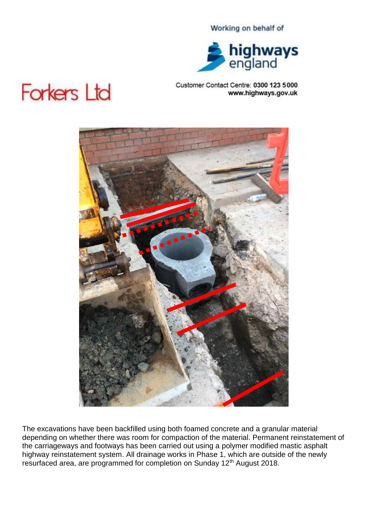

## Customer Contact Centre: 0300 123 5000 www.highways.gov.uk

# **Forkers Ltd**



The excavations have been backfilled using both foamed concrete and a granular material depending on whether there was room for compaction of the material. Permanent reinstatement of the carriageways and footways has been carried out using a polymer modified mastic asphalt highway reinstatement system. All drainage works in Phase 1, which are outside of the newly resurfaced area, are programmed for completion on Sunday 12<sup>th</sup> August 2018.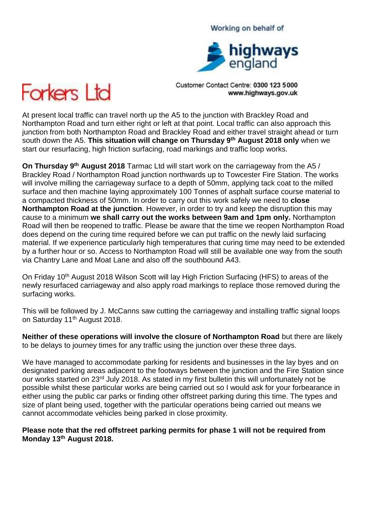# highways

Working on behalf of

Customer Contact Centre: 0300 123 5000 www.highways.gov.uk



At present local traffic can travel north up the A5 to the junction with Brackley Road and Northampton Road and turn either right or left at that point. Local traffic can also approach this junction from both Northampton Road and Brackley Road and either travel straight ahead or turn south down the A5. **This situation will change on Thursday 9th August 2018 only** when we start our resurfacing, high friction surfacing, road markings and traffic loop works.

**On Thursday 9<sup>th</sup> August 2018** Tarmac Ltd will start work on the carriageway from the A5 / Brackley Road / Northampton Road junction northwards up to Towcester Fire Station. The works will involve milling the carriageway surface to a depth of 50mm, applying tack coat to the milled surface and then machine laying approximately 100 Tonnes of asphalt surface course material to a compacted thickness of 50mm. In order to carry out this work safely we need to **close Northampton Road at the junction**. However, in order to try and keep the disruption this may cause to a minimum **we shall carry out the works between 9am and 1pm only.** Northampton Road will then be reopened to traffic. Please be aware that the time we reopen Northampton Road does depend on the curing time required before we can put traffic on the newly laid surfacing material. If we experience particularly high temperatures that curing time may need to be extended by a further hour or so. Access to Northampton Road will still be available one way from the south via Chantry Lane and Moat Lane and also off the southbound A43.

On Friday 10<sup>th</sup> August 2018 Wilson Scott will lay High Friction Surfacing (HFS) to areas of the newly resurfaced carriageway and also apply road markings to replace those removed during the surfacing works.

This will be followed by J. McCanns saw cutting the carriageway and installing traffic signal loops on Saturday 11<sup>th</sup> August 2018.

**Neither of these operations will involve the closure of Northampton Road** but there are likely to be delays to journey times for any traffic using the junction over these three days.

We have managed to accommodate parking for residents and businesses in the lay byes and on designated parking areas adjacent to the footways between the junction and the Fire Station since our works started on 23rd July 2018. As stated in my first bulletin this will unfortunately not be possible whilst these particular works are being carried out so I would ask for your forbearance in either using the public car parks or finding other offstreet parking during this time. The types and size of plant being used, together with the particular operations being carried out means we cannot accommodate vehicles being parked in close proximity.

**Please note that the red offstreet parking permits for phase 1 will not be required from Monday 13th August 2018.**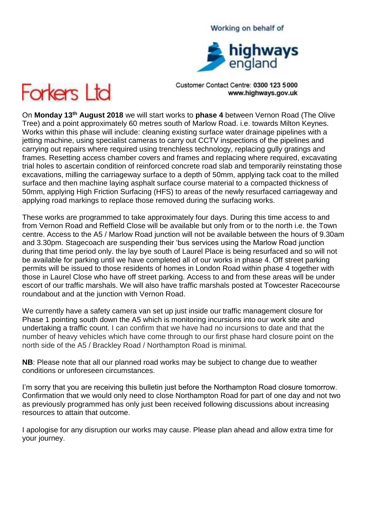# highways<br>england

Working on behalf of

Customer Contact Centre: 0300 123 5000 www.highways.gov.uk



On **Monday 13th August 2018** we will start works to **phase 4** between Vernon Road (The Olive Tree) and a point approximately 60 metres south of Marlow Road. i.e. towards Milton Keynes. Works within this phase will include: cleaning existing surface water drainage pipelines with a jetting machine, using specialist cameras to carry out CCTV inspections of the pipelines and carrying out repairs where required using trenchless technology, replacing gully gratings and frames. Resetting access chamber covers and frames and replacing where required, excavating trial holes to ascertain condition of reinforced concrete road slab and temporarily reinstating those excavations, milling the carriageway surface to a depth of 50mm, applying tack coat to the milled surface and then machine laying asphalt surface course material to a compacted thickness of 50mm, applying High Friction Surfacing (HFS) to areas of the newly resurfaced carriageway and applying road markings to replace those removed during the surfacing works.

These works are programmed to take approximately four days. During this time access to and from Vernon Road and Reffield Close will be available but only from or to the north i.e. the Town centre. Access to the A5 / Marlow Road junction will not be available between the hours of 9.30am and 3.30pm. Stagecoach are suspending their 'bus services using the Marlow Road junction during that time period only. the lay bye south of Laurel Place is being resurfaced and so will not be available for parking until we have completed all of our works in phase 4. Off street parking permits will be issued to those residents of homes in London Road within phase 4 together with those in Laurel Close who have off street parking. Access to and from these areas will be under escort of our traffic marshals. We will also have traffic marshals posted at Towcester Racecourse roundabout and at the junction with Vernon Road.

We currently have a safety camera van set up just inside our traffic management closure for Phase 1 pointing south down the A5 which is monitoring incursions into our work site and undertaking a traffic count. I can confirm that we have had no incursions to date and that the number of heavy vehicles which have come through to our first phase hard closure point on the north side of the A5 / Brackley Road / Northampton Road is minimal.

**NB**: Please note that all our planned road works may be subject to change due to weather conditions or unforeseen circumstances.

I'm sorry that you are receiving this bulletin just before the Northampton Road closure tomorrow. Confirmation that we would only need to close Northampton Road for part of one day and not two as previously programmed has only just been received following discussions about increasing resources to attain that outcome.

I apologise for any disruption our works may cause. Please plan ahead and allow extra time for your journey.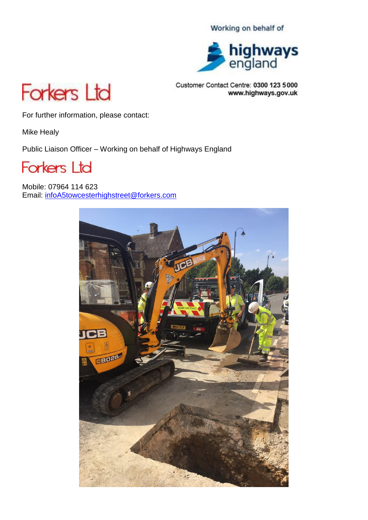

Customer Contact Centre: 0300 123 5000 www.highways.gov.uk



For further information, please contact:

Mike Healy

Public Liaison Officer – Working on behalf of Highways England



Mobile: 07964 114 623 Email: [infoA5towcesterhighstreet@forkers.com](mailto:infoA453-A52@forkers.com)